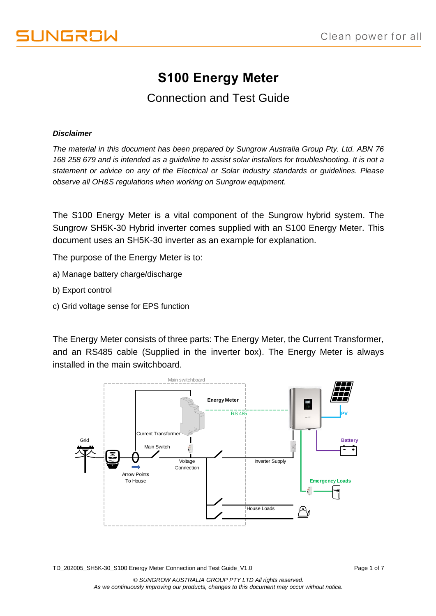### **S100 Energy Meter**

### Connection and Test Guide

#### *Disclaimer*

*The material in this document has been prepared by Sungrow Australia Group Pty. Ltd. ABN 76 168 258 679 and is intended as a guideline to assist solar installers for troubleshooting. It is not a statement or advice on any of the Electrical or Solar Industry standards or guidelines. Please observe all OH&S regulations when working on Sungrow equipment.*

The S100 Energy Meter is a vital component of the Sungrow hybrid system. The Sungrow SH5K-30 Hybrid inverter comes supplied with an S100 Energy Meter. This document uses an SH5K-30 inverter as an example for explanation.

The purpose of the Energy Meter is to:

- a) Manage battery charge/discharge
- b) Export control
- c) Grid voltage sense for EPS function

The Energy Meter consists of three parts: The Energy Meter, the Current Transformer, and an RS485 cable (Supplied in the inverter box). The Energy Meter is always installed in the main switchboard.



TD\_202005\_SH5K-30\_S100 Energy Meter Connection and Test Guide\_V1.0 Page 1 of 7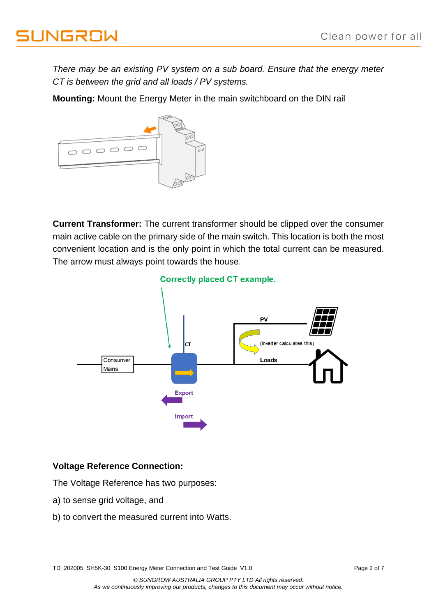*There may be an existing PV system on a sub board. Ensure that the energy meter CT is between the grid and all loads / PV systems.*

**Mounting:** Mount the Energy Meter in the main switchboard on the DIN rail



**Current Transformer:** The current transformer should be clipped over the consumer main active cable on the primary side of the main switch. This location is both the most convenient location and is the only point in which the total current can be measured. The arrow must always point towards the house.



#### **Voltage Reference Connection:**

The Voltage Reference has two purposes:

- a) to sense grid voltage, and
- b) to convert the measured current into Watts.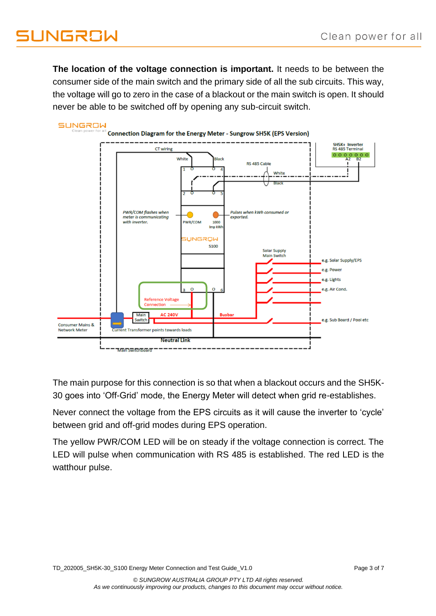# **SI INGRAW**

**The location of the voltage connection is important.** It needs to be between the consumer side of the main switch and the primary side of all the sub circuits. This way, the voltage will go to zero in the case of a blackout or the main switch is open. It should never be able to be switched off by opening any sub-circuit switch.



The main purpose for this connection is so that when a blackout occurs and the SH5K-30 goes into 'Off-Grid' mode, the Energy Meter will detect when grid re-establishes.

Never connect the voltage from the EPS circuits as it will cause the inverter to 'cycle' between grid and off-grid modes during EPS operation.

The yellow PWR/COM LED will be on steady if the voltage connection is correct. The LED will pulse when communication with RS 485 is established. The red LED is the watthour pulse.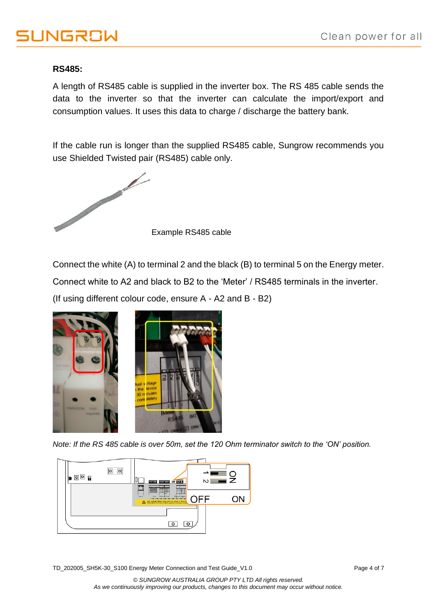# UNGROW

#### **RS485:**

A length of RS485 cable is supplied in the inverter box. The RS 485 cable sends the data to the inverter so that the inverter can calculate the import/export and consumption values. It uses this data to charge / discharge the battery bank.

If the cable run is longer than the supplied RS485 cable, Sungrow recommends you use Shielded Twisted pair (RS485) cable only.



Example RS485 cable

Connect the white (A) to terminal 2 and the black (B) to terminal 5 on the Energy meter. Connect white to A2 and black to B2 to the 'Meter' / RS485 terminals in the inverter. (If using different colour code, ensure A - A2 and B - B2)



*Note: If the RS 485 cable is over 50m, set the 120 Ohm terminator switch to the 'ON' position.*



TD\_202005\_SH5K-30\_S100 Energy Meter Connection and Test Guide\_V1.0 Page 4 of 7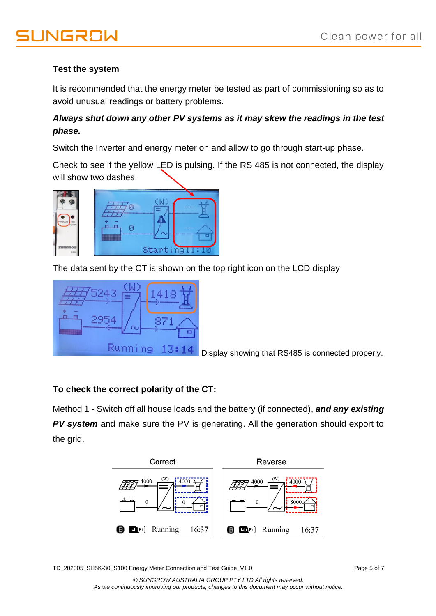### **INGRAW**

#### **Test the system**

It is recommended that the energy meter be tested as part of commissioning so as to avoid unusual readings or battery problems.

### *Always shut down any other PV systems as it may skew the readings in the test phase.*

Switch the Inverter and energy meter on and allow to go through start-up phase.

Check to see if the yellow LED is pulsing. If the RS 485 is not connected, the display will show two dashes.



The data sent by the CT is shown on the top right icon on the LCD display



Display showing that RS485 is connected properly.

### **To check the correct polarity of the CT:**

Method 1 - Switch off all house loads and the battery (if connected), *and any existing*  **PV system** and make sure the PV is generating. All the generation should export to the grid.



TD\_202005\_SH5K-30\_S100 Energy Meter Connection and Test Guide\_V1.0 Page 5 of 7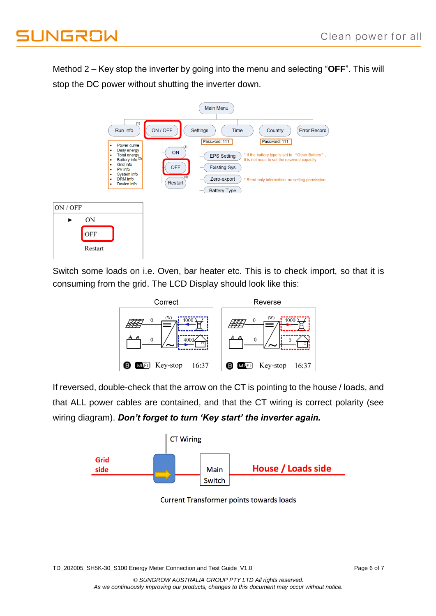# **SI INGRAW**

Method 2 – Key stop the inverter by going into the menu and selecting "**OFF**". This will stop the DC power without shutting the inverter down.



Switch some loads on i.e. Oven, bar heater etc. This is to check import, so that it is consuming from the grid. The LCD Display should look like this:



If reversed, double-check that the arrow on the CT is pointing to the house / loads, and that ALL power cables are contained, and that the CT wiring is correct polarity (see wiring diagram). *Don't forget to turn 'Key start' the inverter again.*



**Current Transformer points towards loads** 

TD\_202005\_SH5K-30\_S100 Energy Meter Connection and Test Guide\_V1.0 Page 6 of 7